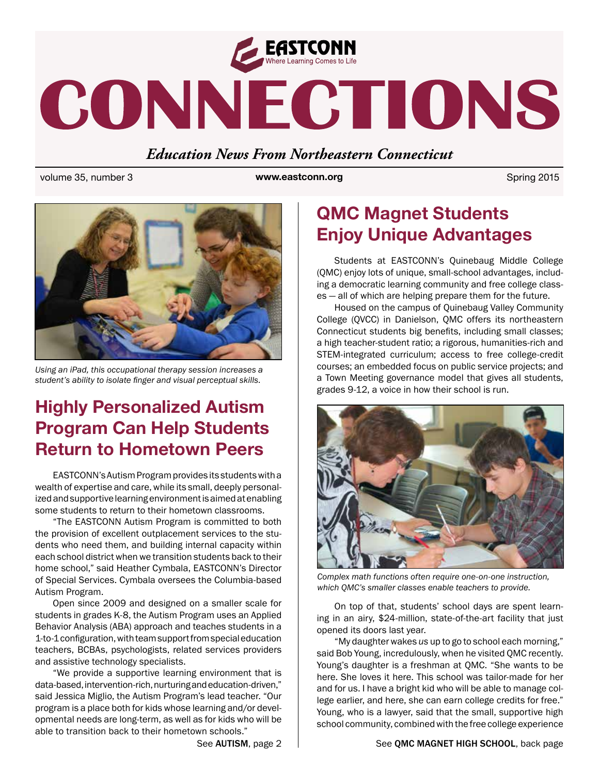

# CONNECTIONS

## *Education News From Northeastern Connecticut*

volume 35, number 3 **big and spring 2015 www.eastconn.org** Spring 2015



*Using an iPad, this occupational therapy session increases a student's ability to isolate fnger and visual perceptual skills.*

# **Highly Personalized Autism Program Can Help Students Return to Hometown Peers**

EASTCONN's Autism Program provides its students with a wealth of expertise and care, while its small, deeply personalized and supportive learning environment is aimed at enabling some students to return to their hometown classrooms.

"The EASTCONN Autism Program is committed to both the provision of excellent outplacement services to the students who need them, and building internal capacity within each school district when we transition students back to their home school," said Heather Cymbala, EASTCONN's Director of Special Services. Cymbala oversees the Columbia-based Autism Program.

Open since 2009 and designed on a smaller scale for students in grades K-8, the Autism Program uses an Applied Behavior Analysis (ABA) approach and teaches students in a 1-to-1 confguration, with team support from special education teachers, BCBAs, psychologists, related services providers and assistive technology specialists.

"We provide a supportive learning environment that is data-based, intervention-rich, nurturing and education-driven," said Jessica Miglio, the Autism Program's lead teacher. "Our program is a place both for kids whose learning and/or developmental needs are long-term, as well as for kids who will be able to transition back to their hometown schools."

# **QMC Magnet Students Enjoy Unique Advantages**

Students at EASTCONN's Quinebaug Middle College (QMC) enjoy lots of unique, small-school advantages, including a democratic learning community and free college classes — all of which are helping prepare them for the future.

Housed on the campus of Quinebaug Valley Community College (QVCC) in Danielson, QMC offers its northeastern Connecticut students big benefts, including small classes; a high teacher-student ratio; a rigorous, humanities-rich and STEM-integrated curriculum; access to free college-credit courses; an embedded focus on public service projects; and a Town Meeting governance model that gives all students, grades 9-12, a voice in how their school is run.



*Complex math functions often require one-on-one instruction, which QMC's smaller classes enable teachers to provide.* 

On top of that, students' school days are spent learning in an airy, \$24-million, state-of-the-art facility that just opened its doors last year.

"My daughter wakes *us* up to go to school each morning," said Bob Young, incredulously, when he visited QMC recently. Young's daughter is a freshman at QMC. "She wants to be here. She loves it here. This school was tailor-made for her and for us. I have a bright kid who will be able to manage college earlier, and here, she can earn college credits for free." Young, who is a lawyer, said that the small, supportive high school community, combined with the free college experience

### See AUTISM, page 2 | See QMC MAGNET HIGH SCHOOL, back page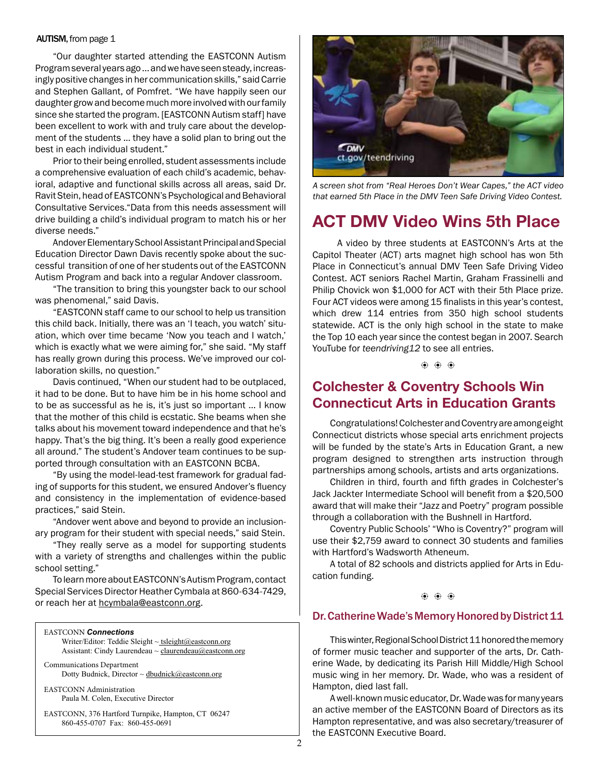#### AUTISM, from page 1

"Our daughter started attending the EASTCONN Autism Program several years ago ... and we have seen steady, increasingly positive changes in her communication skills," said Carrie and Stephen Gallant, of Pomfret. "We have happily seen our daughter grow and become much more involved with our family since she started the program. [EASTCONN Autism staff] have been excellent to work with and truly care about the development of the students ... they have a solid plan to bring out the best in each individual student."

Prior to their being enrolled, student assessments include a comprehensive evaluation of each child's academic, behavioral, adaptive and functional skills across all areas, said Dr. Ravit Stein, head of EASTCONN's Psychological and Behavioral Consultative Services."Data from this needs assessment will drive building a child's individual program to match his or her diverse needs."

Andover Elementary School Assistant Principal and Special Education Director Dawn Davis recently spoke about the successful transition of one of her students out of the EASTCONN Autism Program and back into a regular Andover classroom.

"The transition to bring this youngster back to our school was phenomenal," said Davis.

"EASTCONN staff came to our school to help us transition this child back. Initially, there was an 'I teach, you watch' situation, which over time became 'Now you teach and I watch,' which is exactly what we were aiming for," she said. "My staff has really grown during this process. We've improved our collaboration skills, no question."

Davis continued, "When our student had to be outplaced, it had to be done. But to have him be in his home school and to be as successful as he is, it's just so important … I know that the mother of this child is ecstatic. She beams when she talks about his movement toward independence and that he's happy. That's the big thing. It's been a really good experience all around." The student's Andover team continues to be supported through consultation with an EASTCONN BCBA.

"By using the model-lead-test framework for gradual fading of supports for this student, we ensured Andover's fuency and consistency in the implementation of evidence-based practices," said Stein.

"Andover went above and beyond to provide an inclusionary program for their student with special needs," said Stein.

"They really serve as a model for supporting students with a variety of strengths and challenges within the public school setting."

To learn more about EASTCONN's Autism Program, contact Special Services Director Heather Cymbala at 860-634-7429, or reach her at [hcymbala@eastconn.org](mailto:hcymbala@eastconn.org).

#### EASTCONN *Connections*

Writer/Editor: Teddie Sleight ~ tsleight@eastconn.org Assistant: Cindy Laurendeau ~ [claurendeau@eastconn.org](mailto:claurendeau@eastconn.org)

[Communications Department](%20mailto:connections@eastconn.org) [Dotty Budnick](mailto:dbudnick@eastconn.org), Director  $\sim$  dbudnick@eastconn.org

EASTCONN Administration Paula M. Colen, Executive Director

EASTCONN, 376 Hartford Turnpike, Hampton, CT 06247 860-455-0707 Fax: 860-455-0691



*A screen shot from "Real Heroes Don't Wear Capes," the ACT video that earned 5th Place in the DMV Teen Safe Driving Video Contest.*

## **ACT DMV Video Wins 5th Place**

 A video by three students at EASTCONN's Arts at the Capitol Theater (ACT) arts magnet high school has won 5th Place in Connecticut's annual DMV Teen Safe Driving Video Contest. ACT seniors Rachel Martin, Graham Frassinelli and Philip Chovick won \$1,000 for ACT with their 5th Place prize. Four ACT videos were among 15 fnalists in this year's contest, which drew 114 entries from 350 high school students statewide. ACT is the only high school in the state to make the Top 10 each year since the contest began in 2007. Search YouTube for *teendriving12* to see all entries.

b b b

## **Colchester & Coventry Schools Win Connecticut Arts in Education Grants**

Congratulations! Colchester and Coventry are among eight Connecticut districts whose special arts enrichment projects will be funded by the state's Arts in Education Grant, a new program designed to strengthen arts instruction through partnerships among schools, artists and arts organizations.

Children in third, fourth and ffth grades in Colchester's Jack Jackter Intermediate School will beneft from a \$20,500 award that will make their "Jazz and Poetry" program possible through a collaboration with the Bushnell in Hartford.

Coventry Public Schools' "Who is Coventry?" program will use their \$2,759 award to connect 30 students and families with Hartford's Wadsworth Atheneum.

A total of 82 schools and districts applied for Arts in Education funding.

b b b

#### Dr. Catherine Wade's Memory Honored by District 11

This winter, Regional School District 11 honored the memory of former music teacher and supporter of the arts, Dr. Catherine Wade, by dedicating its Parish Hill Middle/High School music wing in her memory. Dr. Wade, who was a resident of Hampton, died last fall.

A well-known music educator, Dr. Wade was for many years an active member of the EASTCONN Board of Directors as its Hampton representative, and was also secretary/treasurer of the EASTCONN Executive Board.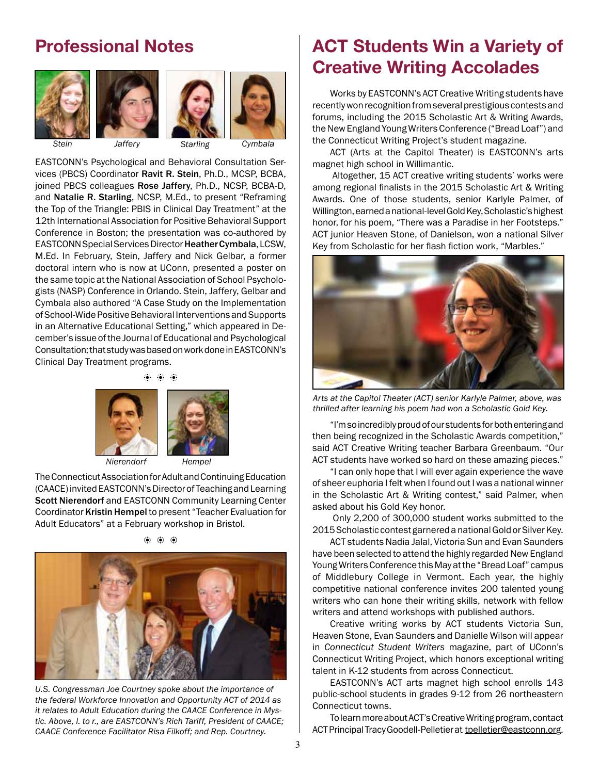## **Professional Notes**



*Stein Jaffery Cymbala Starling*

EASTCONN's Psychological and Behavioral Consultation Services (PBCS) Coordinator Ravit R. Stein, Ph.D., MCSP, BCBA, joined PBCS colleagues Rose Jaffery, Ph.D., NCSP, BCBA-D, and Natalie R. Starling, NCSP, M.Ed., to present "Reframing the Top of the Triangle: PBIS in Clinical Day Treatment" at the 12th International Association for Positive Behavioral Support Conference in Boston; the presentation was co-authored by EASTCONN Special Services Director Heather Cymbala, LCSW, M.Ed. In February, Stein, Jaffery and Nick Gelbar, a former doctoral intern who is now at UConn, presented a poster on the same topic at the National Association of School Psychologists (NASP) Conference in Orlando. Stein, Jaffery, Gelbar and Cymbala also authored "A Case Study on the Implementation of School-Wide Positive Behavioral Interventions and Supports in an Alternative Educational Setting," which appeared in December's issue of the Journal of Educational and Psychological Consultation; that study was based on work done in EASTCONN's Clinical Day Treatment programs.

## b b b



The Connecticut Association for Adult and Continuing Education (CAACE) invited EASTCONN's Director of Teaching and Learning Scott Nierendorf and EASTCONN Community Learning Center Coordinator Kristin Hempel to present "Teacher Evaluation for Adult Educators" at a February workshop in Bristol.





*U.S. Congressman Joe Courtney spoke about the importance of the federal Workforce Innovation and Opportunity ACT of 2014 as it relates to Adult Education during the CAACE Conference in Mystic. Above, l. to r., are EASTCONN's Rich Tariff, President of CAACE; CAACE Conference Facilitator Risa Filkoff; and Rep. Courtney.*

# **ACT Students Win a Variety of Creative Writing Accolades**

Works by EASTCONN's ACT Creative Writing students have recently won recognition from several prestigious contests and forums, including the 2015 Scholastic Art & Writing Awards, the New England Young Writers Conference ("Bread Loaf") and the Connecticut Writing Project's student magazine.

ACT (Arts at the Capitol Theater) is EASTCONN's arts magnet high school in Willimantic.

 Altogether, 15 ACT creative writing students' works were among regional finalists in the 2015 Scholastic Art & Writing Awards. One of those students, senior Karlyle Palmer, of Willington, earned a national-level Gold Key, Scholastic's highest honor, for his poem, "There was a Paradise in her Footsteps." ACT junior Heaven Stone, of Danielson, won a national Silver Key from Scholastic for her flash fiction work, "Marbles."



*Arts at the Capitol Theater (ACT) senior Karlyle Palmer, above, was thrilled after learning his poem had won a Scholastic Gold Key.* 

"I'm so incredibly proud of our students for both entering and then being recognized in the Scholastic Awards competition," said ACT Creative Writing teacher Barbara Greenbaum. "Our ACT students have worked so hard on these amazing pieces."

"I can only hope that I will ever again experience the wave of sheer euphoria I felt when I found out I was a national winner in the Scholastic Art & Writing contest," said Palmer, when asked about his Gold Key honor.

 Only 2,200 of 300,000 student works submitted to the 2015 Scholastic contest garnered a national Gold or Silver Key.

ACT students Nadia Jalal, Victoria Sun and Evan Saunders have been selected to attend the highly regarded New England Young Writers Conference this May at the "Bread Loaf" campus of Middlebury College in Vermont. Each year, the highly competitive national conference invites 200 talented young writers who can hone their writing skills, network with fellow writers and attend workshops with published authors.

Creative writing works by ACT students Victoria Sun, Heaven Stone, Evan Saunders and Danielle Wilson will appear in *Connecticut Student Writers* magazine, part of UConn's Connecticut Writing Project, which honors exceptional writing talent in K-12 students from across Connecticut.

EASTCONN's ACT arts magnet high school enrolls 143 public-school students in grades 9-12 from 26 northeastern Connecticut towns.

To learn more about ACT's Creative Writing program, contact ACT Principal Tracy Goodell-Pelletier at [tpelletier@eastconn.org.](mailto:tpelletier@eastconn.org)